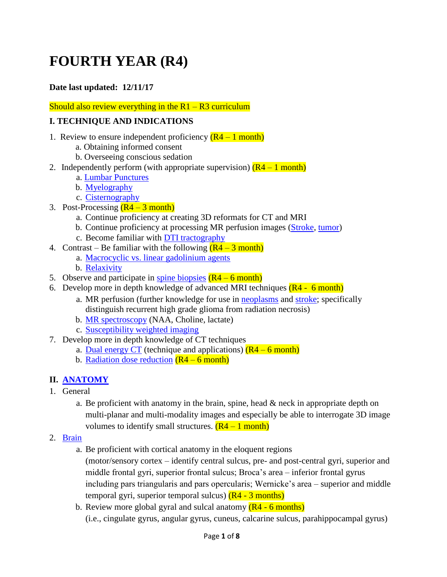# **FOURTH YEAR (R4)**

#### **Date last updated: 12/11/17**

Should also review everything in the  $R1 - R3$  curriculum

#### **I. TECHNIQUE AND INDICATIONS**

- 1. Review to ensure independent proficiency  $(R4 1$  month)
	- a. Obtaining informed consent
	- b. Overseeing conscious sedation
- 2. Independently perform (with appropriate supervision)  $(R4 1$  month)
	- a. [Lumbar Punctures](https://www.dropbox.com/s/wfcl6xarsbmm99p/LP.pdf?dl=0)
	- b. [Myelography](https://www.dropbox.com/s/wfcl6xarsbmm99p/LP.pdf?dl=0)
	- c. [Cisternography](https://www.dropbox.com/s/678yz7ovwnh0vi4/CSF%20leak%20%20GSO%20KLB%2012.8.13final.pdf?dl=0)
- 3. Post-Processing  $(R4 3$  month)
	- a. Continue proficiency at creating 3D reformats for CT and MRI
	- b. Continue proficiency at processing MR perfusion images [\(Stroke,](https://www.dropbox.com/s/9ivtvxkj7mm31r0/MR%20perfusion%20stroke.pdf?dl=0) [tumor\)](https://www.dropbox.com/s/xf5dzu5ihqq1t5g/MR%20perfusion%20tumor.pdf?dl=0)
	- c. Become familiar with [DTI tractography](https://www.dropbox.com/s/p7qkh2t45p00l2f/DTI.pdf?dl=0)
- 4. Contrast Be familiar with the following  $(R4 3$  month)
	- a. [Macrocyclic vs. linear gadolinium agents](https://www.spandidos-publications.com/ijmm/38/5/1319)
	- b. [Relaxivity](https://www.spandidos-publications.com/ijmm/38/5/1319)
- 5. Observe and participate in [spine biopsies](https://www.dropbox.com/s/ccrm6osdxxapcsx/Spine%20Biopsy.pdf?dl=0)  $(R4 6 \text{ month})$
- 6. Develop more in depth knowledge of advanced MRI techniques  $(R4 6$  month)
	- a. MR perfusion (further knowledge for use in [neoplasms](https://www.dropbox.com/s/xf5dzu5ihqq1t5g/MR%20perfusion%20tumor.pdf?dl=0) and [stroke;](https://www.dropbox.com/s/9ivtvxkj7mm31r0/MR%20perfusion%20stroke.pdf?dl=0) specifically distinguish recurrent high grade glioma from radiation necrosis)
	- b. [MR spectroscopy](https://www.dropbox.com/s/qjy23smf3u017tw/MR%20spectroscopy.pdf?dl=0) (NAA, Choline, lactate)
	- c. [Susceptibility weighted imaging](https://www.dropbox.com/s/32xlgeysla94oth/SWI.pdf?dl=0)
- 7. Develop more in depth knowledge of CT techniques
	- a. [Dual energy CT](https://www.dropbox.com/s/31k1x1albci91kz/dual%20energy%20ct.pdf?dl=0) (technique and applications)  $(R4 6$  month)
	- b. [Radiation dose reduction](https://www.dropbox.com/s/uii0bawjg3kwa31/Radiation%20dose%20reduction.pdf?dl=0)  $(R4 6$  month)

## **II. [ANATOMY](http://www.headneckbrainspine.com/)**

- 1. General
	- a. Be proficient with anatomy in the brain, spine, head  $\&$  neck in appropriate depth on multi-planar and multi-modality images and especially be able to interrogate 3D image volumes to identify small structures.  $(R4 - 1$  month)
- 2. [Brain](https://www.dropbox.com/s/k1etx3r4f0bcwf7/Cortical%20Anatomy%202017.pptx?dl=0)
	- a. Be proficient with cortical anatomy in the eloquent regions
		- (motor/sensory cortex identify central sulcus, pre- and post-central gyri, superior and middle frontal gyri, superior frontal sulcus; Broca's area – inferior frontal gyrus including pars triangularis and pars opercularis; Wernicke's area – superior and middle temporal gyri, superior temporal sulcus)  $(R4 - 3$  months)
	- b. Review more global gyral and sulcal anatomy  $(R4 6$  months) (i.e., cingulate gyrus, angular gyrus, cuneus, calcarine sulcus, parahippocampal gyrus)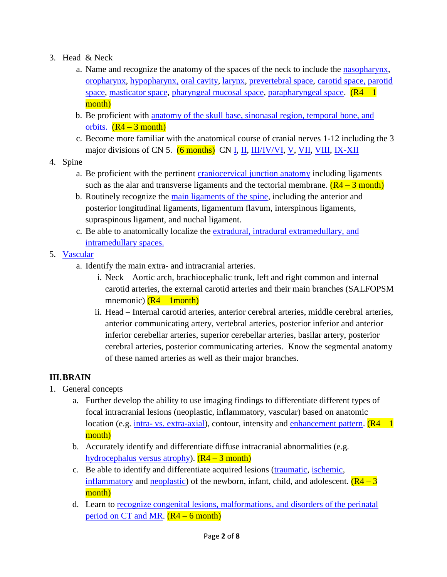- 3. Head & Neck
	- a. Name and recognize the anatomy of the spaces of the neck to include the [nasopharynx,](https://images.radiopaedia.org/articles/nasopharynx) [oropharynx,](https://radiopaedia.org/articles/oropharynx) [hypopharynx,](https://www.dropbox.com/s/qo1l3ygdccq15pl/Hypopharynx%2C%20Larynx.pdf?dl=0) [oral cavity,](https://www.dropbox.com/s/tmas6871yjuwvnq/Oral%20cavity.pdf?dl=0) [larynx,](https://www.dropbox.com/s/qo1l3ygdccq15pl/Hypopharynx%2C%20Larynx.pdf?dl=0) [prevertebral space,](https://www.dropbox.com/s/wyflde0k8wupkvd/Prevertebral%20and%20retrophayngeal%20space.pdf?dl=0) [carotid space,](https://www.dropbox.com/s/a9d6o4n511lzkde/Carotid%20space.pdf?dl=0) [parotid](https://www.dropbox.com/s/685y8780tqtw410/Parotid%20space.pdf?dl=0)  [space,](https://www.dropbox.com/s/685y8780tqtw410/Parotid%20space.pdf?dl=0) [masticator space,](https://www.dropbox.com/s/xxzsgdqeyvwy2gm/Masticator%20space.pdf?dl=0) [pharyngeal mucosal space,](https://radiopaedia.org/articles/pharyngeal-mucosal-space-1) [parapharyngeal space.](https://www.dropbox.com/s/prrck05mfqavbeg/parapharyngeal%20space.pdf?dl=0)  $(R4 - 1)$ month)
	- b. Be proficient with [anatomy of the skull base, sinonasal](http://www.headneckbrainspine.com/) region, temporal bone, and [orbits.](http://www.headneckbrainspine.com/)  $(R4 - 3$  month)
	- c. Become more familiar with the anatomical course of cranial nerves 1-12 including the 3 major divisions of CN 5. (6 months) CN [I,](https://www.dropbox.com/s/ksyn0kr0ply1anq/CN%20I.pdf?dl=0) [II,](https://www.dropbox.com/s/4dqppzp0jkqlxqe/CN%20II.pdf?dl=0) [III/IV/VI,](https://www.dropbox.com/s/ve3hut5sn9o09un/Ocular%20motor.pdf?dl=0) [V,](https://www.dropbox.com/s/z2wiyjs03bmlaa4/CN%20V.pdf?dl=0) [VII,](https://www.dropbox.com/s/7zz8o83pxjy3hch/CN%20VII.pdf?dl=0) [VIII,](https://www.dropbox.com/s/tre9ooyx3i32l33/CN%20VIII.pdf?dl=0) [IX-XII](https://www.dropbox.com/s/4r214bvda6j4kke/CN%20ix%20x%20xi%20xii.pdf?dl=0)
- 4. Spine
	- a. Be proficient with the pertinent [craniocervical junction anatomy](https://www.dropbox.com/s/mngdwlnf6whhtvf/CVJ1.pdf?dl=0) including ligaments such as the alar and transverse ligaments and the tectorial membrane.  $(R4 - 3$  month)
	- b. Routinely recognize the [main ligaments of the spine,](http://www.headneckbrainspine.com/) including the anterior and posterior longitudinal ligaments, ligamentum flavum, interspinous ligaments, supraspinous ligament, and nuchal ligament.
	- c. Be able to anatomically localize the [extradural, intradural extramedullary, and](http://www.headneckbrainspine.com/)  [intramedullary spaces.](http://www.headneckbrainspine.com/)
- 5. [Vascular](http://www.neuroangio.org/)
	- a. Identify the main extra- and intracranial arteries.
		- i. Neck Aortic arch, brachiocephalic trunk, left and right common and internal carotid arteries, the external carotid arteries and their main branches (SALFOPSM mnemonic)  $(R4 - 1$ month)
		- ii. Head Internal carotid arteries, anterior cerebral arteries, middle cerebral arteries, anterior communicating artery, vertebral arteries, posterior inferior and anterior inferior cerebellar arteries, superior cerebellar arteries, basilar artery, posterior cerebral arteries, posterior communicating arteries. Know the segmental anatomy of these named arteries as well as their major branches.

## **III.BRAIN**

- 1. General concepts
	- a. Further develop the ability to use imaging findings to differentiate different types of focal intracranial lesions (neoplastic, inflammatory, vascular) based on anatomic location (e.g. intra- [vs. extra-axial\)](http://www.radiologyassistant.nl/en/p47f86aa182b3a/brain-tumor-systematic-approach.html), contour, intensity and [enhancement pattern.](https://www.dropbox.com/s/k0302eh7grnfc5t/Pattern%20of%20enhancement.pdf?dl=0)  $(R4 - 1)$ month)
	- b. Accurately identify and differentiate diffuse intracranial abnormalities (e.g. [hydrocephalus versus atrophy\)](https://radiopaedia.org/articles/hydrocephalus-versus-atrophy-1).  $(R4 - 3$  month)
	- c. Be able to identify and differentiate acquired lesions [\(traumatic,](https://www.dropbox.com/s/71qk8wymz0ubgln/TBI.pdf?dl=0) [ischemic,](https://www.dropbox.com/s/c7be2r07dl2o7c4/Stroke%202.pdf?dl=0) [inflammatory](https://www.dropbox.com/s/j9jv0v04kfzhzt7/CNS%20Infection.pdf?dl=0) and [neoplastic\)](https://www.dropbox.com/s/wxh5xcznudgvbs6/2016%20Brain%20tumor%20update.pdf?dl=0) of the newborn, infant, child, and adolescent.  $(R4 - 3)$ month)
	- d. Learn to [recognize congenital lesions, malformations, and disorders of the perinatal](https://radiopaedia.org/articles/classification-system-for-malformations-of-cortical-development)  [period on CT and MR.](https://radiopaedia.org/articles/classification-system-for-malformations-of-cortical-development)  $(R4 – 6$  month)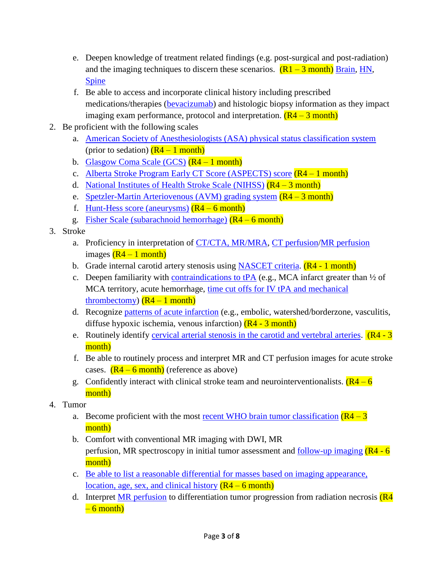- e. Deepen knowledge of treatment related findings (e.g. post-surgical and post-radiation) and the imaging techniques to discern these scenarios.  $(R1 - 3$  month) [Brain,](https://www.dropbox.com/s/1g78tche5s2zg5i/Post%20op%20cranium.pdf?dl=0) [HN,](https://www.dropbox.com/s/m964f129gn60x3u/Post%20treatment%20neck.pdf?dl=0) [Spine](https://www.dropbox.com/s/twxcbldser3ifzu/Post%20op%20spine.pdf?dl=0)
- f. Be able to access and incorporate clinical history including prescribed medications/therapies [\(bevacizumab\)](https://radiopaedia.org/articles/tumour-pseudoresponse) and histologic biopsy information as they impact imaging exam performance, protocol and interpretation.  $(R4 - 3$  month)
- 2. Be proficient with the following scales
	- a. [American Society of Anesthesiologists \(ASA\)](https://www.asahq.org/resources/clinical-information/asa-physical-status-classification-system) physical status classification system (prior to sedation)  $(R4 - 1$  month)
	- b. [Glasgow Coma Scale \(GCS\)](https://en.wikipedia.org/wiki/Glasgow_Coma_Scale)  $(R4 1$  month)
	- c. [Alberta Stroke Program Early CT Score \(ASPECTS\)](https://radiopaedia.org/articles/alberta-stroke-program-early-ct-score-aspects-1) score (R4 1 month)
	- d. [National Institutes of Health Stroke Scale \(NIHSS\)](https://en.wikipedia.org/wiki/National_Institutes_of_Health_Stroke_Scale)  $(R4 3$  month)
	- e. [Spetzler-Martin Arteriovenous \(AVM\)](https://radiopaedia.org/articles/spetzler-martin-arteriovenous-malformation-grading-system-2) grading system  $(R4 3$  month)
	- f. [Hunt-Hess score \(aneurysms\)](https://radiopaedia.org/articles/hunt-and-hess-grading-system)  $(R4 6$  month)
	- g. [Fisher Scale \(subarachnoid hemorrhage\)](https://radiopaedia.org/articles/fisher-scale)  $(R4 6$  month)
- 3. Stroke
	- a. Proficiency in interpretation of [CT/CTA, MR/MRA,](https://www.dropbox.com/s/c7be2r07dl2o7c4/Stroke%202.pdf?dl=0) CT [perfusion](https://www.dropbox.com/s/0k744xs0jtafvx9/CTP.pdf?dl=0)[/MR perfusion](https://www.dropbox.com/s/9ivtvxkj7mm31r0/MR%20perfusion%20stroke.pdf?dl=0) images  $(R4 - 1$  month)
	- b. Grade internal carotid artery stenosis using [NASCET criteria.](https://radiopaedia.org/articles/carotid-artery-stenosis)  $(R4 1$  month)
	- c. Deepen familiarity with [contraindications to tPA](https://www.dropbox.com/s/otahy6bmre8q4do/TPA.pdf?dl=0) (e.g., MCA infarct greater than  $\frac{1}{2}$  of MCA territory, acute hemorrhage, [time cut offs for IV tPA and mechanical](https://www.dropbox.com/s/jnp3pea6nk5kpup/Guideline%20stroke.pdf?dl=0)  [thrombectomy\)](https://www.dropbox.com/s/jnp3pea6nk5kpup/Guideline%20stroke.pdf?dl=0)  $(R4 - 1$  month)
	- d. Recognize [patterns of acute infarction](https://www.dropbox.com/s/c7be2r07dl2o7c4/Stroke%202.pdf?dl=0) (e.g., embolic, watershed/borderzone, vasculitis, diffuse hypoxic ischemia, venous infarction)  $(R4 - 3$  month)
	- e. Routinely identify [cervical arterial stenosis in the carotid and vertebral arteries.](http://www.headneckbrainspine.com/)  $(R4 3)$ month)
	- f. Be able to routinely process and interpret MR and CT perfusion images for acute stroke cases.  $(R4 - 6$  month) (reference as above)
	- g. Confidently interact with clinical stroke team and neurointerventionalists.  $(R4 6)$ month)
- 4. Tumor
	- a. Become proficient with the most <u>recent WHO brain tumor classification</u>  $(R4 3)$ month)
	- b. Comfort with conventional MR imaging with DWI, MR perfusion, MR spectroscopy in initial tumor assessment and [follow-up imaging](https://www.ncbi.nlm.nih.gov/pmc/articles/PMC4419419/)  $(R4 - 6$ month)
	- c. [Be able to list a reasonable differential for masses based on imaging appearance,](http://www.radiologyassistant.nl/en/p47f86aa182b3a/brain-tumor-systematic-approach.html)  [location, age, sex, and clinical history](http://www.radiologyassistant.nl/en/p47f86aa182b3a/brain-tumor-systematic-approach.html)  $(R4 – 6$  month)
	- d. Interpret [MR perfusion](https://www.dropbox.com/s/xf5dzu5ihqq1t5g/MR%20perfusion%20tumor.pdf?dl=0) to differentiation tumor progression from radiation necrosis  $(R4)$  $-6$  month)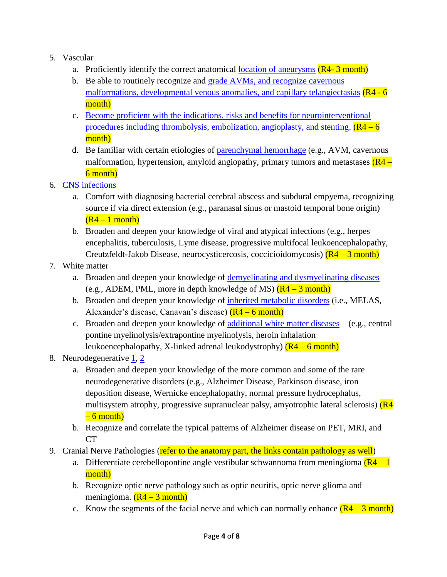- 5. Vascular
	- a. Proficiently identify the correct anatomical [location of aneurysms](http://www.neuroangio.org/)  $(R4-3$  month)
	- b. Be able to routinely recognize and [grade AVMs, and recognize cavernous](https://www.dropbox.com/s/waadfjzwl69kzoy/Vascular%20lesions%20and%20normal%20variants.pdf?dl=0)  [malformations, developmental venous anomalies, and capillary telangiectasias](https://www.dropbox.com/s/waadfjzwl69kzoy/Vascular%20lesions%20and%20normal%20variants.pdf?dl=0) (R4 - 6) month)
	- c. Become proficient with [the indications, risks and benefits for neurointerventional](http://www.neuroangio.org/)  [procedures including thrombolysis, embolization, angioplasty, and stenting.](http://www.neuroangio.org/)  $(R4 - 6)$ month)
	- d. Be familiar with certain etiologies of [parenchymal hemorrhage](https://www.dropbox.com/s/8z6zc4q5ekdlc69/IC%20Hg.pdf?dl=0) (e.g., AVM, cavernous malformation, hypertension, amyloid angiopathy, primary tumors and metastases  $(R4 -$ 6 month)
- 6. [CNS infections](https://www.dropbox.com/s/j9jv0v04kfzhzt7/CNS%20Infection.pdf?dl=0)
	- a. Comfort with diagnosing bacterial cerebral abscess and subdural empyema, recognizing source if via direct extension (e.g., paranasal sinus or mastoid temporal bone origin)  $(R4 - 1$  month)
	- b. Broaden and deepen your knowledge of viral and atypical infections (e.g., herpes encephalitis, tuberculosis, Lyme disease, progressive multifocal leukoencephalopathy, Creutzfeldt-Jakob Disease, neurocysticercosis, coccicioidomycosis)  $(R4 - 3$  month)
- 7. White matter
	- a. Broaden and deepen your knowledge of [demyelinating and dysmyelinating diseases](https://www.dropbox.com/s/lquic9ngrbkv7vh/MS%20brain%20and%20spinal%20cord.pdf?dl=0) (e.g., ADEM, PML, more in depth knowledge of MS)  $(R4 - 3$  month)
	- b. Broaden and deepen your knowledge of [inherited metabolic disorders](https://www.dropbox.com/s/csbcaopt1j5237f/Inborn%20error.pdf?dl=0) (i.e., MELAS, Alexander's disease, Canavan's disease)  $(R4 - 6$  month)
	- c. Broaden and deepen your knowledge of [additional white matter diseases](https://www.dropbox.com/s/jejjs0d270yy1fy/White%20matter%20radiographics%202017.pdf?dl=0) (e.g., central pontine myelinolysis/extrapontine myelinolysis, heroin inhalation leukoencephalopathy, X-linked adrenal leukodystrophy)  $(R4 - 6$  month)
- 8. Neurodegenerative [1,](https://www.dropbox.com/s/eyhrfcftklra67f/Neurodegenerative%20disease%20part%201.pdf?dl=0) [2](https://www.dropbox.com/s/j5vbmggzkze1jco/Neurodegenerative%20disease%20part%202.pdf?dl=0)
	- a. Broaden and deepen your knowledge of the more common and some of the rare neurodegenerative disorders (e.g., Alzheimer Disease, Parkinson disease, iron deposition disease, Wernicke encephalopathy, normal pressure hydrocephalus, multisystem atrophy, progressive supranuclear palsy, amyotrophic lateral sclerosis) (R4  $-6$  month)
	- b. Recognize and correlate the typical patterns of Alzheimer disease on PET, MRI, and  $CT$
- 9. Cranial Nerve Pathologies (refer to the anatomy part, the links contain pathology as well)
	- a. Differentiate cerebellopontine angle vestibular schwannoma from meningioma  $(R4 1)$ month)
	- b. Recognize optic nerve pathology such as optic neuritis, optic nerve glioma and meningioma.  $(R4 - 3$  month)
	- c. Know the segments of the facial nerve and which can normally enhance  $(R4 3$  month)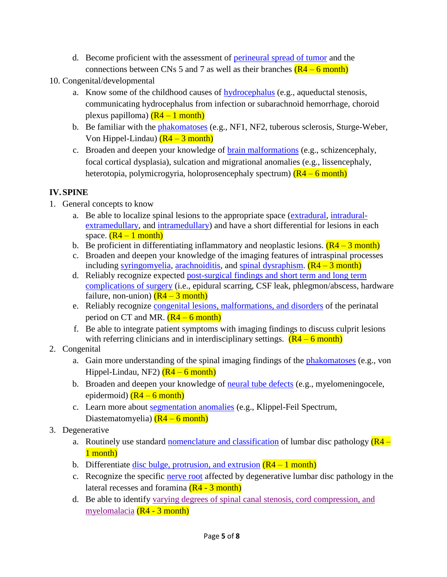- d. Become proficient with the assessment of [perineural spread of tumor](https://www.dropbox.com/s/pneqxhwe3omyhaz/Perineural%20Spread%2005.10.16.pptx?dl=0) and the connections between CNs 5 and 7 as well as their branches  $(R4 - 6$  month)
- 10. Congenital/developmental
	- a. Know some of the childhood causes of [hydrocephalus](https://www.dropbox.com/s/17vabp5knqowmt5/Ped%20Hydrocephalus.pdf?dl=0) (e.g., aqueductal stenosis, communicating hydrocephalus from infection or subarachnoid hemorrhage, choroid plexus papilloma)  $(R4 - 1$  month)
	- b. Be familiar with the **phakomatoses** (e.g., NF1, NF2, tuberous sclerosis, Sturge-Weber, Von Hippel-Lindau)  $(R4 - 3$  month)
	- c. Broaden and deepen your knowledge of [brain malformations](https://radiopaedia.org/articles/classification-system-for-malformations-of-cortical-development) (e.g., schizencephaly, focal cortical dysplasia), sulcation and migrational anomalies (e.g., lissencephaly, heterotopia, polymicrogyria, holoprosencephaly spectrum)  $(R4 - 6$  month)

## **IV.SPINE**

- 1. General concepts to know
	- a. Be able to localize spinal lesions to the appropriate space [\(extradural,](https://www.asnr.org/neurographics/5/1/28/2.shtml) [intradural](https://radiopaedia.org/articles/intradural-extramedullary-spinal-tumours-1)[extramedullary,](https://radiopaedia.org/articles/intradural-extramedullary-spinal-tumours-1) and [intramedullary\)](https://radiopaedia.org/articles/intradural-spinal-mass-lesions-an-approach-1) and have a short differential for lesions in each space.  $(R4 - 1$  month)
	- b. Be proficient in differentiating inflammatory and neoplastic lesions.  $(R4 3$  month)
	- c. Broaden and deepen your knowledge of the imaging features of intraspinal processes including [syringomyelia,](https://radiopaedia.org/articles/syringomyelia) [arachnoiditis,](https://radiopaedia.org/articles/arachnoiditis) and [spinal dysraphism.](https://www.dropbox.com/s/0bwq8pfrjgbydxw/Spinal%20congenital%20anomaly.pdf?dl=0)  $(R4 - 3$  month)
	- d. Reliably recognize expected [post-surgical findings and short term and long term](https://www.dropbox.com/s/twxcbldser3ifzu/Post%20op%20spine.pdf?dl=0)  [complications](https://www.dropbox.com/s/twxcbldser3ifzu/Post%20op%20spine.pdf?dl=0) of surgery (i.e., epidural scarring, CSF leak, phlegmon/abscess, hardware failure, non-union)  $(R4 - 3$  month)
	- e. Reliably recognize [congenital lesions, malformations, and disorders](https://www.dropbox.com/s/xrtai5v2bhkxss7/Spine%20anomaly.pdf?dl=0) of the perinatal period on CT and MR.  $(R4 - 6$  month)
	- f. Be able to integrate patient symptoms with imaging findings to discuss culprit lesions with referring clinicians and in interdisciplinary settings.  $(R4 - 6 \text{ month})$
- 2. Congenital
	- a. Gain more understanding of the spinal imaging findings of the [phakomatoses](https://www.dropbox.com/s/us9ocpak0kx4yt3/Phagomatosis.pdf?dl=0) (e.g., von Hippel-Lindau, NF2)  $(R4 - 6$  month)
	- b. Broaden and deepen your knowledge of [neural tube defects](https://www.dropbox.com/s/0bwq8pfrjgbydxw/Spinal%20congenital%20anomaly.pdf?dl=0) (e.g., myelomeningocele, epidermoid)  $(R4 - 6$  month)
	- c. Learn more about [segmentation anomalies](https://www.dropbox.com/s/0bwq8pfrjgbydxw/Spinal%20congenital%20anomaly.pdf?dl=0) (e.g., Klippel-Feil Spectrum, Diastematomyelia)  $(R4 - 6$  month)
- 3. Degenerative
	- a. Routinely use standard [nomenclature and classification](https://www.dropbox.com/s/y3a0cyl23tch5f0/Nomenclature.pdf?dl=0) of lumbar disc pathology  $(R4 -$ 1 month)
	- b. Differentiate [disc bulge, protrusion, and extrusion](https://www.dropbox.com/s/x00zw0ouomdjp80/DJD%20pain%20fellows.pdf?dl=0)  $(R4 1$  month)
	- c. Recognize the specific [nerve root](https://www.dropbox.com/s/x00zw0ouomdjp80/DJD%20pain%20fellows.pdf?dl=0) affected by degenerative lumbar disc pathology in the lateral recesses and foramina (R4 - 3 month)
	- d. Be able to identify [varying degrees of spinal canal stenosis, cord compression, and](https://www.dropbox.com/s/x00zw0ouomdjp80/DJD%20pain%20fellows.pdf?dl=0)  [myelomalacia](https://www.dropbox.com/s/x00zw0ouomdjp80/DJD%20pain%20fellows.pdf?dl=0) (R4 - 3 month)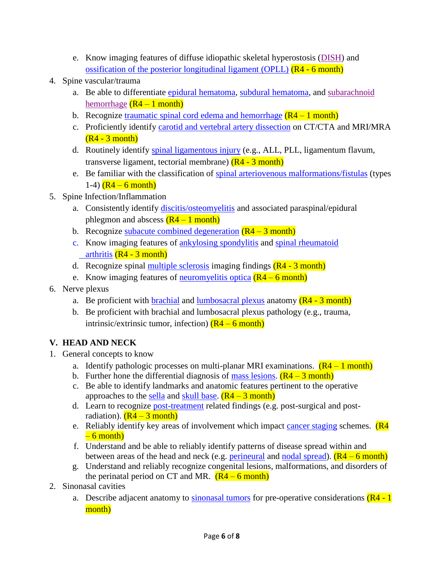- e. Know imaging features of diffuse idiopathic skeletal hyperostosis [\(DISH\)](https://www.dropbox.com/s/ax53r1vm8egcyys/DISH.pdf?dl=0) and [ossification of the posterior longitudinal ligament \(OPLL\)](https://www.dropbox.com/s/ax53r1vm8egcyys/DISH.pdf?dl=0)  $(R4 - 6$  month)
- 4. Spine vascular/trauma
	- a. Be able to differentiate [epidural hematoma,](https://radiopaedia.org/articles/spinal-epidural-haematoma) [subdural hematoma,](https://www.sciencedirect.com/science/article/pii/S2214751914000449) and [subarachnoid](http://casereports.bmj.com/content/2016/bcr-2015-213556.full)  [hemorrhage](http://casereports.bmj.com/content/2016/bcr-2015-213556.full)  $(R4 - 1$  month)
	- b. Recognize [traumatic spinal cord edema and hemorrhage](https://www.dropbox.com/s/cl616oc2ue4qsia/Spinal%20cord%20trauma.pdf?dl=0)  $(R4 1$  month)
	- c. Proficiently identify [carotid and vertebral artery dissection](https://www.dropbox.com/s/00vq6o757hoq6x3/Craniocervical%20dissection.pdf?dl=0) on CT/CTA and MRI/MRA  $(R4 - 3$  month)
	- d. Routinely identify [spinal ligamentous injury](https://www.dropbox.com/s/ilvxn3ol7igl1x3/MRI%20acute%20spinal%20Fx.pdf?dl=0) (e.g., ALL, PLL, ligamentum flavum, transverse ligament, tectorial membrane)  $(R4 - 3$  month)
	- e. Be familiar with the classification of [spinal arteriovenous malformations/fistulas](https://www.dropbox.com/s/r80qa3j6fv4olzb/Spinal%20vascular%20disease.pdf?dl=0) (types 1-4)  $(R4 - 6$  month)
- 5. Spine Infection/Inflammation
	- a. Consistently identify [discitis/osteomyelitis](https://www.dropbox.com/s/fjpx322fs6ioz5y/Spine%20infection%201.pdf?dl=0) and associated paraspinal/epidural phlegmon and abscess  $(R4 - 1$  month)
	- b. Recognize [subacute combined degeneration](https://radiopaedia.org/cases/subacute-combined-degeneration-of-a-spinal-cord)  $(R4 3$  month)
	- c. Know imaging features of [ankylosing spondylitis](https://www.dropbox.com/s/ruejnddm3kct4er/AS.pdf?dl=0) and [spinal rheumatoid](https://www.dropbox.com/s/p7incjd1qdd7rwm/Spine%20arthritis.pdf?dl=0) [arthritis](https://www.dropbox.com/s/p7incjd1qdd7rwm/Spine%20arthritis.pdf?dl=0) (R4 - 3 month)
	- d. Recognize spinal [multiple sclerosis](https://www.dropbox.com/s/lquic9ngrbkv7vh/MS%20brain%20and%20spinal%20cord.pdf?dl=0) imaging findings  $(R4 3$  month)
	- e. Know imaging features of [neuromyelitis optica](https://www.dropbox.com/s/1p7urv90l8xht88/NMO.pdf?dl=0)  $(R4 6$  month)
- 6. Nerve plexus
	- a. Be proficient with [brachial](https://www.dropbox.com/s/rj98fzdbtygunvw/Brachial%20plexus.pdf?dl=0) and [lumbosacral plexus](https://www.dropbox.com/s/lo2p7klctck3hqd/LS%20plexus.pdf?dl=0) anatomy  $(R4 3$  month)
	- b. Be proficient with brachial and lumbosacral plexus pathology (e.g., trauma, intrinsic/extrinsic tumor, infection)  $(R4 - 6$  month)

## **V. HEAD AND NECK**

- 1. General concepts to know
	- a. Identify pathologic processes on multi-planar MRI examinations.  $(R4 1$  month)
	- b. Further hone the differential diagnosis of [mass lesions.](https://www.dropbox.com/s/giceq4waid24x4h/Ped%20HN%20cystic%20mass.pdf?dl=0)  $(R4 3$  month)
	- c. Be able to identify landmarks and anatomic features pertinent to the operative approaches to the [sella](https://www.dropbox.com/s/9wkne5edj0w5zib/Sellar%20and%20parasellar.pdf?dl=0) and [skull base.](https://www.dropbox.com/s/f4vzmmtm2tjnypx/Central%20skull%20base.pdf?dl=0)  $(R4 - 3$  month)
	- d. Learn to recognize [post-treatment](https://www.dropbox.com/s/m964f129gn60x3u/Post%20treatment%20neck.pdf?dl=0) related findings (e.g. post-surgical and postradiation).  $(R4 - 3$  month)
	- e. Reliably identify key areas of involvement which impact [cancer staging](https://cancerstaging.org/references-tools/deskreferences/Pages/8EUpdates.aspx) schemes.  $(R4)$  $-6$  month)
	- f. Understand and be able to reliably identify patterns of disease spread within and between areas of the head and neck (e.g. [perineural](https://www.dropbox.com/s/pneqxhwe3omyhaz/Perineural%20Spread%2005.10.16.pptx?dl=0) and [nodal spread\)](https://www.dropbox.com/s/2ly1kwgws0036qh/LAD%20Cancer%20HN.pdf?dl=0).  $(R4 - 6$  month)
	- g. Understand and reliably recognize congenital lesions, malformations, and disorders of the perinatal period on CT and MR.  $(R4 - 6$  month)
- 2. Sinonasal cavities
	- a. Describe adjacent anatomy to [sinonasal tumors](https://www.dropbox.com/s/dog6uwogh7oy3i0/Imaging%20of%20sinonsal%20Neoplasms%20Las%20Vegas.pptx?dl=0) for pre-operative considerations  $(R4 1)$ month)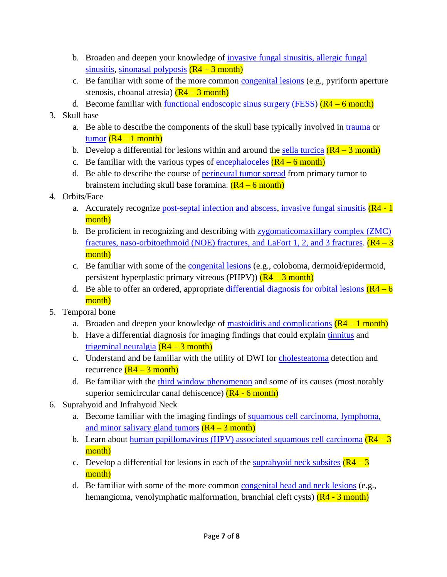- b. Broaden and deepen your knowledge of [invasive fungal sinusitis, allergic fungal](https://www.dropbox.com/s/h6ny09nrth3w208/Fungal%20sinusitis.pdf?dl=0)  [sinusitis,](https://www.dropbox.com/s/h6ny09nrth3w208/Fungal%20sinusitis.pdf?dl=0) [sinonasal polyposis](https://radiopaedia.org/articles/sinonasal-polyposis)  $(R4 - 3$  month)
- c. Be familiar with some of the more common [congenital lesions](https://www.dropbox.com/s/wnckdecwqeyfajy/Congenital%20sinonasal%20lesion.pdf?dl=0) (e.g., pyriform aperture stenosis, choanal atresia)  $(R4 - 3$  month)
- d. Become familiar with <u>functional endoscopic sinus surgery (FESS</u>)  $(R4 6$  month)

## 3. Skull base

- a. Be able to describe the components of the skull base typically involved in [trauma](https://www.dropbox.com/s/cr830c092bvab09/SB%20Fx.pdf?dl=0) or [tumor](https://www.dropbox.com/s/iz8q195n0vhzvbq/Skull%20base%20tumor.pdf?dl=0)  $(R4 - 1$  month)
- b. Develop a differential for lesions within and around the [sella turcica](https://www.dropbox.com/s/9wkne5edj0w5zib/Sellar%20and%20parasellar.pdf?dl=0)  $(R4 3$  month)
- c. Be familiar with the various types of [encephaloceles](https://www.dropbox.com/s/xj1jvy0eh71knyq/SB%20encephalocele.pdf?dl=0)  $(R4 6$  month)
- d. Be able to describe the course of [perineural tumor spread](https://www.dropbox.com/s/pneqxhwe3omyhaz/Perineural%20Spread%2005.10.16.pptx?dl=0) from primary tumor to brainstem including skull base foramina.  $(R4 - 6$  month)
- 4. Orbits/Face
	- a. Accurately recognize [post-septal infection and abscess,](https://www.dropbox.com/s/7ytmssspn2cqypi/Orbital%20ER.pdf?dl=0) [invasive fungal sinusitis](https://www.dropbox.com/s/h6ny09nrth3w208/Fungal%20sinusitis.pdf?dl=0) (R4 1) month)
	- b. Be proficient in recognizing and describing with [zygomaticomaxillary complex \(ZMC\)](https://www.dropbox.com/s/820keq6n16bitbi/Facial%20Fx.pdf?dl=0)  [fractures, naso-orbitoethmoid \(NOE\) fractures, and LaFort](https://www.dropbox.com/s/820keq6n16bitbi/Facial%20Fx.pdf?dl=0) 1, 2, and 3 fractures.  $(R4 - 3)$ month)
	- c. Be familiar with some of the [congenital lesions](https://www.dropbox.com/s/3xuhxfkzcegidxw/Congenital%20orbits.pdf?dl=0) (e.g., coloboma, dermoid/epidermoid, persistent hyperplastic primary vitreous (PHPV))  $(R4 - 3$  month)
	- d. Be able to offer an ordered, appropriate differential [diagnosis for orbital lesions](http://www.radiologyassistant.nl/en/p489ca7c544b19/orbita-pathology.html)  $(R4 6)$ month)
- 5. Temporal bone
	- a. Broaden and deepen your knowledge of <u>mastoiditis and complications</u>  $(R4 1$  month)
	- b. Have a differential diagnosis for imaging findings that could explain [tinnitus](https://www.dropbox.com/s/kctqepjd5awjy80/Tinnitus.pdf?dl=0) and [trigeminal neuralgia](https://www.dropbox.com/s/94f7e13m3i2fhe7/Trigeminal%20neuralgia.pdf?dl=0)  $(R4 - 3$  month)
	- c. Understand and be familiar with the utility of DWI for [cholesteatoma](https://www.dropbox.com/s/c36858a5tt7qsiw/T%20bone%20infection%20inflammation.pdf?dl=0) detection and recurrence  $(R4 - 3$  month)
	- d. Be familiar with the [third window phenomenon](https://www.dropbox.com/s/b9t6mx4xj4ar51u/superior%20semicircular%20canal%20dehiscence.pdf?dl=0) and some of its causes (most notably superior semicircular canal dehiscence)  $(R4 - 6$  month)
- 6. Suprahyoid and Infrahyoid Neck
	- a. Become familiar with the imaging findings of [squamous cell carcinoma, lymphoma,](https://www.dropbox.com/s/ffc0s9katwm100s/HN%20cancer%20over%20view.pdf?dl=0)  [and minor salivary gland tumors](https://www.dropbox.com/s/ffc0s9katwm100s/HN%20cancer%20over%20view.pdf?dl=0)  $(R4 - 3$  month)
	- b. Learn about human papillomavirus (HPV) [associated squamous cell carcinoma](http://ajnrdigest.org/human-papillomavirus-associated-head-neck-cancer/)  $(R4 3)$ month)
	- c. Develop a differential for lesions in each of the [suprahyoid neck subsites](https://www.dropbox.com/s/9ebhe8gpm4r794m/Suprahyoid%20neck.pdf?dl=0)  $(R4 3)$ month)
	- d. Be familiar with some of the more common [congenital head and neck lesions](https://www.appliedradiology.com/articles/congenital-cystic-lesions-of-the-neck) (e.g., hemangioma, venolymphatic malformation, branchial cleft cysts) (R4 - 3 month)